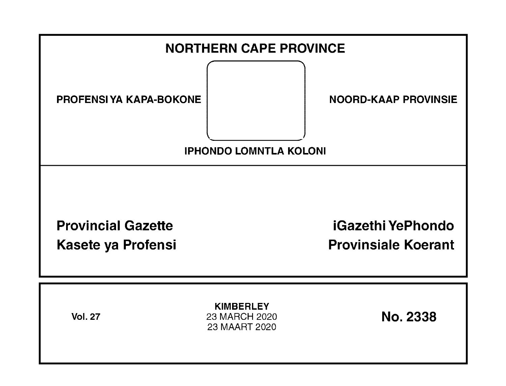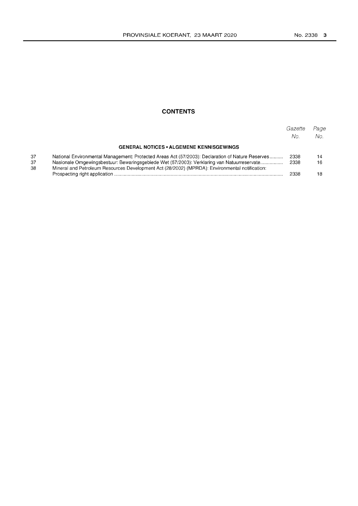## **CONTENTS**

|          |                                                                                                                                                                                              | Gazette<br>No. | Page<br>No. |
|----------|----------------------------------------------------------------------------------------------------------------------------------------------------------------------------------------------|----------------|-------------|
|          | <b>GENERAL NOTICES • ALGEMENE KENNISGEWINGS</b>                                                                                                                                              |                |             |
| 37       | National Environmental Management: Protected Areas Act (57/2003): Declaration of Nature Reserves                                                                                             | 2338           | 14          |
| 37<br>38 | Nasionale Omgewingsbestuur: Bewaringsgebiede Wet (57/2003): Verklaring van Natuurreservate<br>Mineral and Petroleum Resources Development Act (28/2002) (MPRDA): Environmental notification: | 2338           | 16          |
|          |                                                                                                                                                                                              | 2338           |             |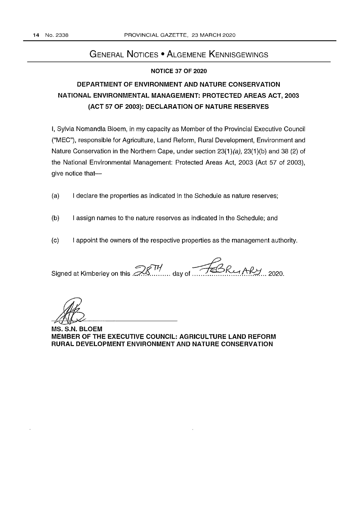# GENERAL NOTICES • ALGEMENE KENNISGEWINGS

## NOTICE 37 OF 2020

# DEPARTMENT OF ENVIRONMENT AND NATURE CONSERVATION NATIONAL ENVIRONMENTAL MANAGEMENT: PROTECTED AREAS ACT, 2003 (ACT 57 OF 2003): DECLARATION OF NATURE RESERVES

I, Sylvia Nomandla Bloem, in my capacity as Member of the Provincial Executive Council ("MEC"), responsible for Agriculture, Land Reform, Rural Development, Environment and Nature Conservation in the Northern Cape, under section  $23(1)(a)$ ,  $23(1)(b)$  and 38 (2) of the National Environmental Management: Protected Areas Act, 2003 (Act 57 of 2003), give notice that-

- (a) I declare the properties as indicated in the Schedule as nature reserves;
- (b) I assign names to the nature reserves as indicated in the Schedule; and
- (c) I appoint the owners of the respective properties as the management authority.

Signed at Kimberley on this *.d!:7'1. ....* day of ~.~ *f.tf?:1. .. 2020.* 

MS. S.N. BLOEM MEMBER OF THE EXECUTIVE COUNCIL: AGRICULTURE LAND REFORM RURAL DEVELOPMENT ENVIRONMENT AND NATURE CONSERVATION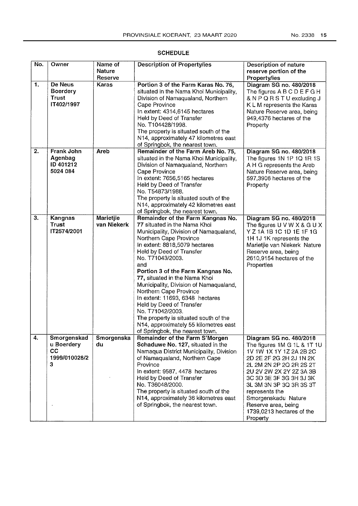| No.              | Owner                                                           | Name of                         | <b>Description of Property/ies</b>                                                                                                                                                                                                                                                                                                                                                                                                                                                                                                                                              | Description of nature                                                                                                                                                                                                                                                                                                             |
|------------------|-----------------------------------------------------------------|---------------------------------|---------------------------------------------------------------------------------------------------------------------------------------------------------------------------------------------------------------------------------------------------------------------------------------------------------------------------------------------------------------------------------------------------------------------------------------------------------------------------------------------------------------------------------------------------------------------------------|-----------------------------------------------------------------------------------------------------------------------------------------------------------------------------------------------------------------------------------------------------------------------------------------------------------------------------------|
|                  |                                                                 | <b>Nature</b><br>Reserve        |                                                                                                                                                                                                                                                                                                                                                                                                                                                                                                                                                                                 | reserve portion of the<br>Property/ies                                                                                                                                                                                                                                                                                            |
| 1.               | <b>De Neus</b><br><b>Boerdery</b><br><b>Trust</b><br>IT402/1997 | Karas                           | Portion 3 of the Farm Karas No. 76,<br>situated in the Nama Khoi Municipality,<br>Division of Namaqualand, Northern<br>Cape Province<br>In extent: 4314,6145 hectares<br>Held by Deed of Transfer<br>No. T104428/1998.<br>The property is situated south of the<br>N14, approximately 47 kilometres east<br>of Springbok, the nearest town.                                                                                                                                                                                                                                     | Diagram SG no. 480/2018<br>The figures A B C D E F G H<br>& N P Q R S T U excluding J<br>K L M represents the Karas<br>Nature Reserve area, being<br>949,4376 hectares of the<br>Property                                                                                                                                         |
| $\overline{2}$ . | <b>Frank John</b><br>Agenbag<br>ID 401212<br>5024 084           | Areb                            | Remainder of the Farm Areb No. 75,<br>situated in the Nama Khoi Municipality,<br>Division of Namaqualand, Northern<br>Cape Province<br>In extent: 7656,5165 hectares<br>Held by Deed of Transfer<br>No. T54873/1988.<br>The property is situated south of the<br>N14, approximately 42 kilometres east<br>of Springbok, the nearest town.                                                                                                                                                                                                                                       | Diagram SG no. 480/2018<br>The figures 1N 1P 1Q 1R 1S<br>A H G represents the Areb<br>Nature Reserve area, being<br>597,3906 hectares of the<br>Property                                                                                                                                                                          |
| 3.               | Kangnas<br><b>Trust</b><br>IT2574/2001                          | <b>Marietjie</b><br>van Niekerk | Remainder of the Farm Kangnas No.<br>77 situated in the Nama Khoi<br>Municipality, Division of Namaqualand,<br>Northern Cape Province<br>In extent: 8818,5079 hectares<br>Held by Deed of Transfer<br>No. T71043/2003.<br>and<br>Portion 3 of the Farm Kangnas No.<br>77, situated in the Nama Khoi<br>Municipality, Division of Namaqualand,<br>Northern Cape Province<br>In extent: 11693, 6348 hectares<br>Held by Deed of Transfer<br>No. T71042/2003.<br>The property is situated south of the<br>N14, approximately 55 kilometres east<br>of Springbok, the nearest town. | Diagram SG no. 480/2018<br>The figures U V W X & G U X<br>Y Z 1A 1B 1C 1D 1E 1F 1G<br>1H 1J 1K represents the<br>Marietjie van Niekerk Nature<br>Reserve area, being<br>2610,9154 hectares of the<br>Properties                                                                                                                   |
| 4.               | Smorgenskad<br>u Boerdery<br>cc<br>1999/010028/2<br>3           | Smorgenska<br>du                | Remainder of the Farm S'Morgen<br>Schaduwe No. 127, situated in the<br>Namaqua District Municipality, Division<br>of Namaqualand, Northern Cape<br>Province<br>In extent: 9587, 4478 hectares<br>Held by Deed of Transfer<br>No. T36048/2000.<br>The property is situated south of the<br>N14, approximately 36 kilometres east<br>of Springbok, the nearest town.                                                                                                                                                                                                              | Diagram SG no. 480/2018<br>The figures 1M G 1L & 1T 1U<br>1V 1W 1X 1Y 1Z 2A 2B 2C<br>2D 2E 2F 2G 2H 2J 1N 2K<br>2L 2M 2N 2P 2Q 2R 2S 2T<br>2U 2V 2W 2X 2Y 2Z 3A 3B<br>3C 3D 3E 3F 3G 3H 3J 3K<br>3L 3M 3N 3P 3Q 3R 3S 3T<br>represents the<br>Smorgenskadu Nature<br>Reserve area, being<br>1739,0213 hectares of the<br>Property |

## SCHEDULE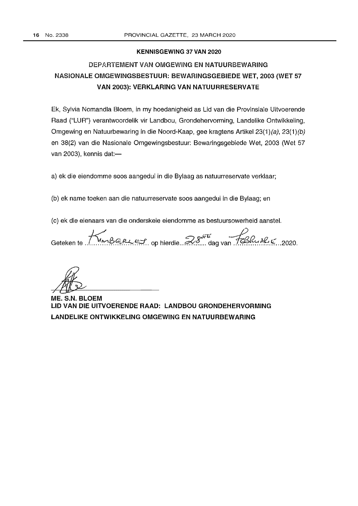## KENNISGEWING 37 VAN 2020

# DEPARTEMENTVAN OMGEWING EN NATUURBEWARING NASIONALE OMGEWINGSBESTUUR: BEWARINGSGEBIEDE WET, 2003 (WET 57 VAN 2003): VERKLARING VAN NATUURRESERVATE

Ek, Sylvia Nomandla Bloem, in my hoedanigheid as Lid van die Provinsiale Uitvoerende Raad ("LUR") verantwoordelik vir Landbou, Grondehervorming, Landelike Ontwikkeling, Omgewing en Natuurbewaring in die Noord-Kaap, gee kragtens Artikel 23(1)(a), 23(1)(b) en 38(2) van die Nasionale Omgewingsbestuur: Bewaringsgebiede Wet, 2003 (Wet 57 van 2003), kennis dat: $-$ 

a) ek die eiendomme soos aangedui in die Bylaag as natuurreservate verklaar;

(b) ek name toeken aan die natuurreservate soos aangedui in die Bylaag; en

(c) ek die eienaars van die onderskeie eiendomme as bestuursowerheid aansteL

Geteken te ........ <sup>K</sup>~!?§.~5;(. op hierdie ... 2.-~ ~rr£ ... dag van ~ ............. ~.~ .. 2020.

ME. S.N. BLOEM LID VAN DIE UITVOERENDE RAAD: LANDBOU GRONDEHERVORMING LANDELIKE ONTWIKKELING OMGEWING EN NATUURBEWARING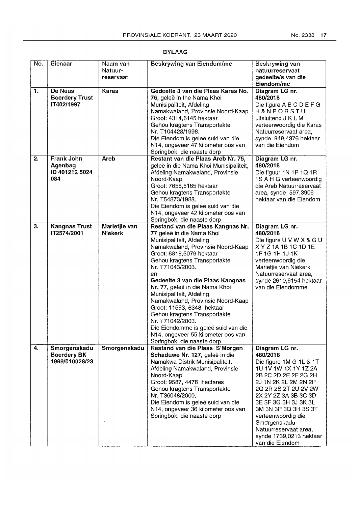| No. | Eienaar                                               | Naam van<br>Natuur-<br>reservaat | Beskrywing van Eiendom/me                                                                                                                                                                                                                                                                                                                                                                                                                                                                                                                                 | Beskrywing van<br>natuurreservaat<br>gedeelte/s van die<br>Eiendom/me                                                                                                                                                                                                                                                                      |
|-----|-------------------------------------------------------|----------------------------------|-----------------------------------------------------------------------------------------------------------------------------------------------------------------------------------------------------------------------------------------------------------------------------------------------------------------------------------------------------------------------------------------------------------------------------------------------------------------------------------------------------------------------------------------------------------|--------------------------------------------------------------------------------------------------------------------------------------------------------------------------------------------------------------------------------------------------------------------------------------------------------------------------------------------|
| 1.  | De Neus<br><b>Boerdery Trust</b><br>IT402/1997        | <b>Karas</b>                     | Gedeelte 3 van die Plaas Karas No.<br>76, geleë in the Nama Khoi<br>Munisipaliteit, Afdeling<br>Namakwaland, Provinsie Noord-Kaap<br>Groot: 4314,6145 hektaar<br>Gehou kragtens Transportakte<br>Nr. T104428/1998.<br>Die Eiendom is geleë suid van die<br>N14, ongeveer 47 kilometer oos van<br>Springbok, die naaste dorp                                                                                                                                                                                                                               | Diagram LG nr.<br>480/2018<br>Die figure A B C D E F G<br>H&NPQRSTU<br>uitsluitend J K L M<br>verteenwoordig die Karas<br>Natuurreservaat area,<br>synde 949,4376 hektaar<br>van die Eiendom                                                                                                                                               |
| 2.  | <b>Frank John</b><br>Agenbag<br>ID 401212 5024<br>084 | <b>Areb</b>                      | Restant van die Plaas Areb Nr. 75,<br>geleë in die Nama Khoi Munisipaliteit,<br>Afdeling Namakwaland, Provinsie<br>Noord-Kaap<br>Groot: 7656,5165 hektaar<br>Gehou kragtens Transportakte<br>Nr. T54873/1988.<br>Die Eiendom is geleë suid van die<br>N14, ongeveer 42 kilometer oos van<br>Springbok, die naaste dorp                                                                                                                                                                                                                                    | Diagram LG nr.<br>480/2018<br>Die figuur 1N 1P 1Q 1R<br>1S A H G verteenwoordig<br>die Areb Natuurreservaat<br>area, synde 597,3906<br>hektaar van die Eiendom                                                                                                                                                                             |
| 3.  | <b>Kangnas Trust</b><br>IT2574/2001                   | Marietjie van<br>Niekerk         | Restand van die Plaas Kangnas Nr.<br>77 geleë in die Nama Khoi<br>Munisipaliteit, Afdeling<br>Namakwaland, Provinsie Noord-Kaap<br>Groot: 8818,5079 hektaar<br>Gehou kragtens Transportakte<br>Nr. T71043/2003.<br>en<br>Gedeelte 3 van die Plaas Kangnas<br>Nr. 77, geleë in die Nama Khoi<br>Munisipaliteit, Afdeling<br>Namakwaland, Provinsie Noord-Kaap<br>Groot: 11693, 6348 hektaar<br>Gehou kragtens Transportakte<br>Nr. T71042/2003.<br>Die Eiendomme is geleë suid van die<br>N14, ongeveer 55 kilometer oos van<br>Springbok, die naaste dorp | Diagram LG nr.<br>480/2018<br>Die figure U V W X & G U<br>X Y Z 1A 1B 1C 1D 1E<br>1F 1G 1H 1J 1K<br>verteenwoordig die<br>Marietjie van Niekerk<br>Natuurreservaat area,<br>synde 2610,9154 hektaar<br>van die Eiendomme                                                                                                                   |
| 4.  | Smorgenskadu<br><b>Boerdery BK</b><br>1999/010028/23  | Smorgenskadu                     | Restand van die Plaas S'Morgen<br>Schaduwe Nr. 127, geleë in die<br>Namakwa Distrik Munisipaliteit,<br>Afdeling Namakwaland, Provinsie<br>Noord-Kaap<br>Groot: 9587, 4478 hectares<br>Gehou kragtens Transportakte<br>Nr. T36048/2000.<br>Die Eiendom is geleë suid van die<br>N14, ongeveer 36 kilometer oos van<br>Springbok, die naaste dorp                                                                                                                                                                                                           | Diagram LG nr.<br>480/2018<br>Die figure 1M G 1L & 1T<br>1U 1V 1W 1X 1Y 1Z 2A<br>2B 2C 2D 2E 2F 2G 2H<br>2J 1N 2K 2L 2M 2N 2P<br>2Q 2R 2S 2T 2U 2V 2W<br>2X 2Y 2Z 3A 3B 3C 3D<br>3E 3F 3G 3H 3J 3K 3L<br>3M 3N 3P 3Q 3R 3S 3T<br>verteenwoordig die<br>Smorgenskadu<br>Natuurreservaat area,<br>synde 1739,0213 hektaar<br>van die Eiendom |

## BYLAAG